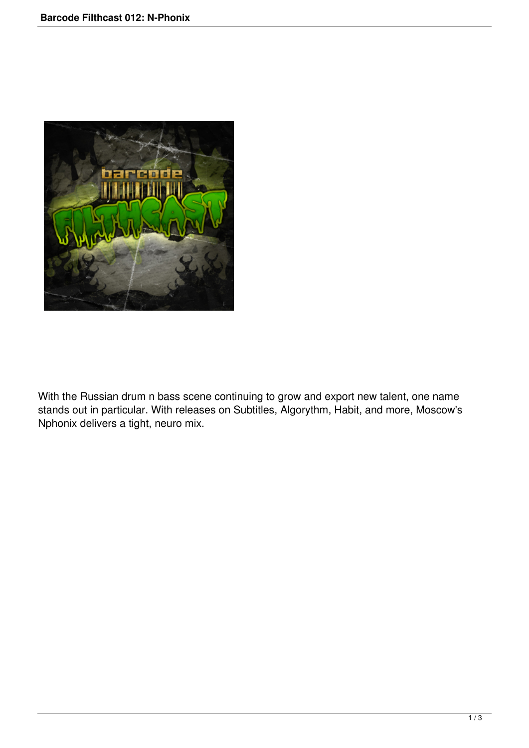

With the Russian drum n bass scene continuing to grow and export new talent, one name stands out in particular. With releases on Subtitles, Algorythm, Habit, and more, Moscow's Nphonix delivers a tight, neuro mix.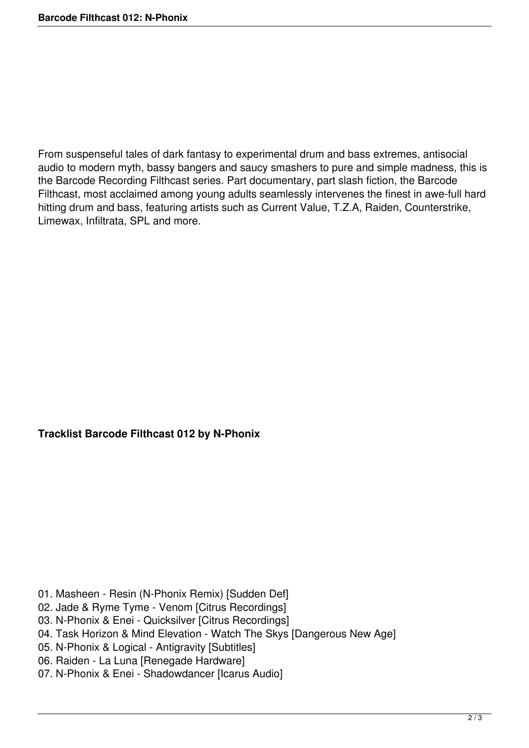From suspenseful tales of dark fantasy to experimental drum and bass extremes, antisocial audio to modern myth, bassy bangers and saucy smashers to pure and simple madness, this is the Barcode Recording Filthcast series. Part documentary, part slash fiction, the Barcode Filthcast, most acclaimed among young adults seamlessly intervenes the finest in awe-full hard hitting drum and bass, featuring artists such as Current Value, T.Z.A, Raiden, Counterstrike, Limewax, Infiltrata, SPL and more.

## **Tracklist Barcode Filthcast 012 by N-Phonix**

- 01. Masheen Resin (N-Phonix Remix) [Sudden Def]
- 02. Jade & Ryme Tyme Venom [Citrus Recordings]
- 03. N-Phonix & Enei Quicksilver [Citrus Recordings]
- 04. Task Horizon & Mind Elevation Watch The Skys [Dangerous New Age]
- 05. N-Phonix & Logical Antigravity [Subtitles]
- 06. Raiden La Luna [Renegade Hardware]
- 07. N-Phonix & Enei Shadowdancer [Icarus Audio]